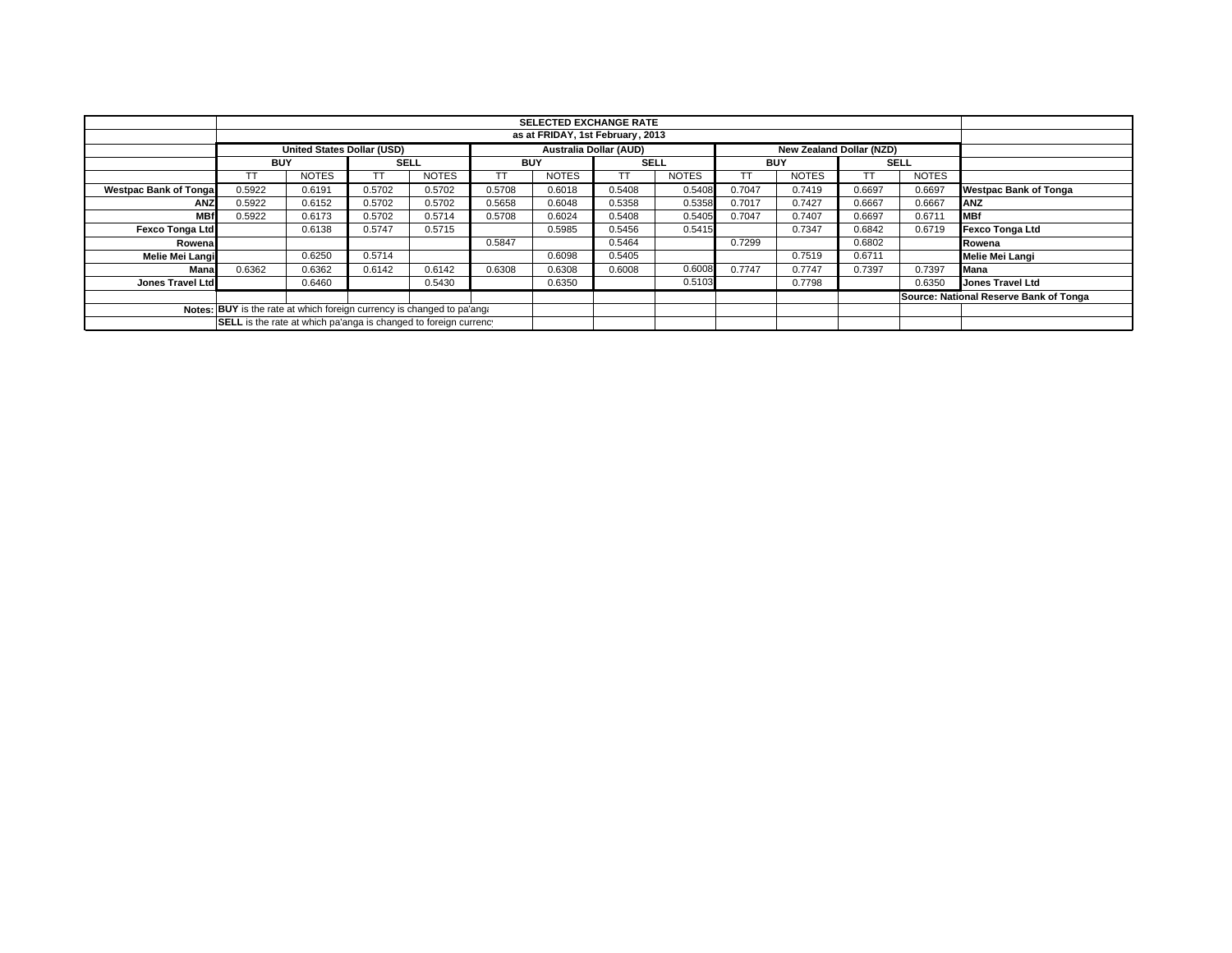|                                                                        | <b>SELECTED EXCHANGE RATE</b>                                                                  |              |        |              |        |              |             |              |            |              |             |              |                                        |
|------------------------------------------------------------------------|------------------------------------------------------------------------------------------------|--------------|--------|--------------|--------|--------------|-------------|--------------|------------|--------------|-------------|--------------|----------------------------------------|
| as at FRIDAY, 1st February, 2013                                       |                                                                                                |              |        |              |        |              |             |              |            |              |             |              |                                        |
|                                                                        | <b>United States Dollar (USD)</b><br><b>Australia Dollar (AUD)</b><br>New Zealand Dollar (NZD) |              |        |              |        |              |             |              |            |              |             |              |                                        |
|                                                                        | <b>BUY</b>                                                                                     |              |        | <b>SELL</b>  |        | <b>BUY</b>   | <b>SELL</b> |              | <b>BUY</b> |              | <b>SELL</b> |              |                                        |
|                                                                        |                                                                                                | <b>NOTES</b> |        | <b>NOTES</b> |        | <b>NOTES</b> |             | <b>NOTES</b> |            | <b>NOTES</b> |             | <b>NOTES</b> |                                        |
| <b>Westpac Bank of Tongal</b>                                          | 0.5922                                                                                         | 0.6191       | 0.5702 | 0.5702       | 0.5708 | 0.6018       | 0.5408      | 0.5408       | 0.7047     | 0.7419       | 0.6697      | 0.6697       | <b>Westpac Bank of Tonga</b>           |
| <b>ANZ</b>                                                             | 0.5922                                                                                         | 0.6152       | 0.5702 | 0.5702       | 0.5658 | 0.6048       | 0.5358      | 0.5358       | 0.7017     | 0.7427       | 0.6667      | 0.6667       | <b>ANZ</b>                             |
| <b>MBf</b>                                                             | 0.5922                                                                                         | 0.6173       | 0.5702 | 0.5714       | 0.5708 | 0.6024       | 0.5408      | 0.5405       | 0.7047     | 0.7407       | 0.6697      | 0.6711       | <b>IMBf</b>                            |
| Fexco Tonga Ltd                                                        |                                                                                                | 0.6138       | 0.5747 | 0.5715       |        | 0.5985       | 0.5456      | 0.5415       |            | 0.7347       | 0.6842      | 0.6719       | Fexco Tonga Ltd                        |
| Rowenal                                                                |                                                                                                |              |        |              | 0.5847 |              | 0.5464      |              | 0.7299     |              | 0.6802      |              | Rowena                                 |
| Melie Mei Langi                                                        |                                                                                                | 0.6250       | 0.5714 |              |        | 0.6098       | 0.5405      |              |            | 0.7519       | 0.6711      |              | Melie Mei Langi                        |
| Mana                                                                   | 0.6362                                                                                         | 0.6362       | 0.6142 | 0.6142       | 0.6308 | 0.6308       | 0.6008      | 0.6008       | 0.7747     | 0.7747       | 0.7397      | 0.7397       | <b>Mana</b>                            |
| Jones Travel Ltd                                                       |                                                                                                | 0.6460       |        | 0.5430       |        | 0.6350       |             | 0.5103       |            | 0.7798       |             | 0.6350       | <b>Jones Travel Ltd</b>                |
|                                                                        |                                                                                                |              |        |              |        |              |             |              |            |              |             |              | Source: National Reserve Bank of Tonga |
| Notes: BUY is the rate at which foreign currency is changed to pa'ang: |                                                                                                |              |        |              |        |              |             |              |            |              |             |              |                                        |
| SELL is the rate at which pa'anga is changed to foreign currency       |                                                                                                |              |        |              |        |              |             |              |            |              |             |              |                                        |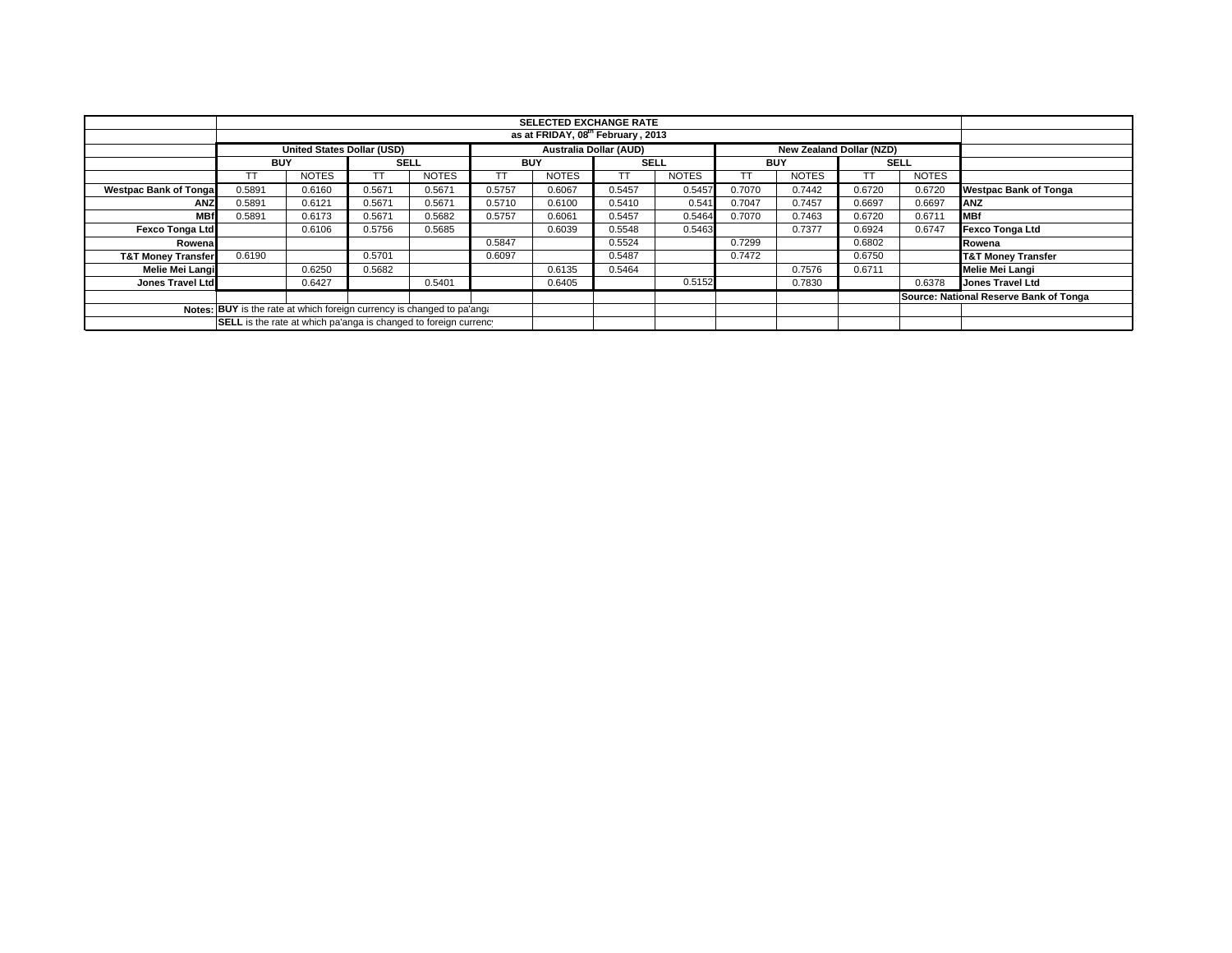|                                                                        | <b>SELECTED EXCHANGE RATE</b>                                                                  |              |        |              |            |              |             |              |            |              |             |              |                                        |
|------------------------------------------------------------------------|------------------------------------------------------------------------------------------------|--------------|--------|--------------|------------|--------------|-------------|--------------|------------|--------------|-------------|--------------|----------------------------------------|
| as at FRIDAY, 08th February, 2013                                      |                                                                                                |              |        |              |            |              |             |              |            |              |             |              |                                        |
|                                                                        | <b>United States Dollar (USD)</b><br><b>Australia Dollar (AUD)</b><br>New Zealand Dollar (NZD) |              |        |              |            |              |             |              |            |              |             |              |                                        |
|                                                                        | <b>BUY</b>                                                                                     |              |        | <b>SELL</b>  | <b>BUY</b> |              | <b>SELL</b> |              | <b>BUY</b> |              | <b>SELL</b> |              |                                        |
|                                                                        |                                                                                                | <b>NOTES</b> |        | <b>NOTES</b> |            | <b>NOTES</b> |             | <b>NOTES</b> |            | <b>NOTES</b> |             | <b>NOTES</b> |                                        |
| <b>Westpac Bank of Tongal</b>                                          | 0.5891                                                                                         | 0.6160       | 0.5671 | 0.5671       | 0.5757     | 0.6067       | 0.5457      | 0.5457       | 0.7070     | 0.7442       | 0.6720      | 0.6720       | <b>Westpac Bank of Tonga</b>           |
| <b>ANZ</b>                                                             | 0.5891                                                                                         | 0.6121       | 0.5671 | 0.5671       | 0.5710     | 0.6100       | 0.5410      | 0.541        | 0.7047     | 0.7457       | 0.6697      | 0.6697       | <b>ANZ</b>                             |
| <b>MBf</b>                                                             | 0.5891                                                                                         | 0.6173       | 0.5671 | 0.5682       | 0.5757     | 0.6061       | 0.5457      | 0.5464       | 0.7070     | 0.7463       | 0.6720      | 0.6711       | <b>IMBf</b>                            |
| Fexco Tonga Ltd                                                        |                                                                                                | 0.6106       | 0.5756 | 0.5685       |            | 0.6039       | 0.5548      | 0.5463       |            | 0.7377       | 0.6924      | 0.6747       | Fexco Tonga Ltd                        |
| Rowenal                                                                |                                                                                                |              |        |              | 0.5847     |              | 0.5524      |              | 0.7299     |              | 0.6802      |              | Rowena                                 |
| <b>T&amp;T Money Transfer</b>                                          | 0.6190                                                                                         |              | 0.5701 |              | 0.6097     |              | 0.5487      |              | 0.7472     |              | 0.6750      |              | <b>T&amp;T Money Transfer</b>          |
| Melie Mei Langi                                                        |                                                                                                | 0.6250       | 0.5682 |              |            | 0.6135       | 0.5464      |              |            | 0.7576       | 0.6711      |              | Melie Mei Langi                        |
| Jones Travel Ltd                                                       |                                                                                                | 0.6427       |        | 0.5401       |            | 0.6405       |             | 0.5152       |            | 0.7830       |             | 0.6378       | <b>Jones Travel Ltd</b>                |
|                                                                        |                                                                                                |              |        |              |            |              |             |              |            |              |             |              | Source: National Reserve Bank of Tonga |
| Notes: BUY is the rate at which foreign currency is changed to pa'ang: |                                                                                                |              |        |              |            |              |             |              |            |              |             |              |                                        |
| SELL is the rate at which pa'anga is changed to foreign currency       |                                                                                                |              |        |              |            |              |             |              |            |              |             |              |                                        |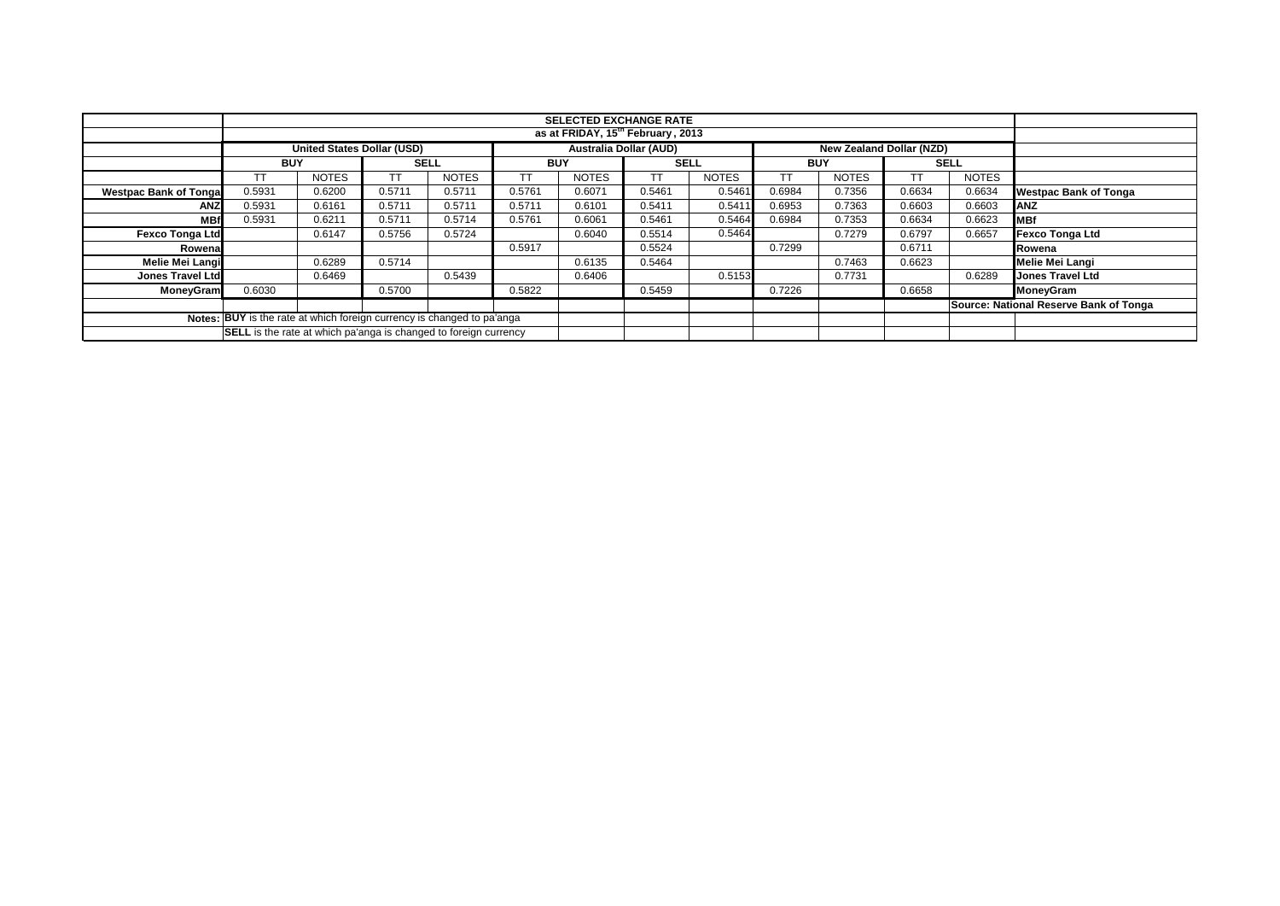|                              |                                                                                                | <b>SELECTED EXCHANGE RATE</b><br>as at FRIDAY, 15 <sup>th</sup> February, 2013 |        |              |            |              |             |              |            |              |             |              |                                        |
|------------------------------|------------------------------------------------------------------------------------------------|--------------------------------------------------------------------------------|--------|--------------|------------|--------------|-------------|--------------|------------|--------------|-------------|--------------|----------------------------------------|
|                              |                                                                                                |                                                                                |        |              |            |              |             |              |            |              |             |              |                                        |
|                              | <b>Australia Dollar (AUD)</b><br><b>United States Dollar (USD)</b><br>New Zealand Dollar (NZD) |                                                                                |        |              |            |              |             |              |            |              |             |              |                                        |
|                              | <b>BUY</b>                                                                                     |                                                                                |        | <b>SELL</b>  | <b>BUY</b> |              | <b>SELL</b> |              | <b>BUY</b> |              | <b>SELL</b> |              |                                        |
|                              |                                                                                                | <b>NOTES</b>                                                                   | TT     | <b>NOTES</b> |            | <b>NOTES</b> | ТT          | <b>NOTES</b> | TТ         | <b>NOTES</b> | TT          | <b>NOTES</b> |                                        |
| <b>Westpac Bank of Tonga</b> | 0.5931                                                                                         | 0.6200                                                                         | 0.5711 | 0.5711       | 0.5761     | 0.6071       | 0.5461      | 0.5461       | 0.6984     | 0.7356       | 0.6634      | 0.6634       | <b>Westpac Bank of Tonga</b>           |
| <b>ANZ</b>                   | 0.5931                                                                                         | 0.6161                                                                         | 0.5711 | 0.5711       | 0.5711     | 0.6101       | 0.5411      | 0.5411       | 0.6953     | 0.7363       | 0.6603      | 0.6603       | <b>IANZ</b>                            |
| <b>MB</b>                    | 0.5931                                                                                         | 0.6211                                                                         | 0.5711 | 0.5714       | 0.5761     | 0.6061       | 0.5461      | 0.5464       | 0.6984     | 0.7353       | 0.6634      | 0.6623       | <b>IMBf</b>                            |
| <b>Fexco Tonga Ltd</b>       |                                                                                                | 0.6147                                                                         | 0.5756 | 0.5724       |            | 0.6040       | 0.5514      | 0.5464       |            | 0.7279       | 0.6797      | 0.6657       | <b>Fexco Tonga Ltd</b>                 |
| Rowena                       |                                                                                                |                                                                                |        |              | 0.5917     |              | 0.5524      |              | 0.7299     |              | 0.6711      |              | Rowena                                 |
| Melie Mei Langi              |                                                                                                | 0.6289                                                                         | 0.5714 |              |            | 0.6135       | 0.5464      |              |            | 0.7463       | 0.6623      |              | <b>Melie Mei Langi</b>                 |
| <b>Jones Travel Ltd</b>      |                                                                                                | 0.6469                                                                         |        | 0.5439       |            | 0.6406       |             | 0.5153       |            | 0.7731       |             | 0.6289       | Jones Travel Ltd                       |
| <b>MoneyGram</b>             | 0.6030                                                                                         |                                                                                | 0.5700 |              | 0.5822     |              | 0.5459      |              | 0.7226     |              | 0.6658      |              | MoneyGram                              |
|                              |                                                                                                |                                                                                |        |              |            |              |             |              |            |              |             |              | Source: National Reserve Bank of Tonga |
|                              | Notes: BUY is the rate at which foreign currency is changed to pa'anga                         |                                                                                |        |              |            |              |             |              |            |              |             |              |                                        |
|                              | <b>SELL</b> is the rate at which pa'anga is changed to foreign currency                        |                                                                                |        |              |            |              |             |              |            |              |             |              |                                        |